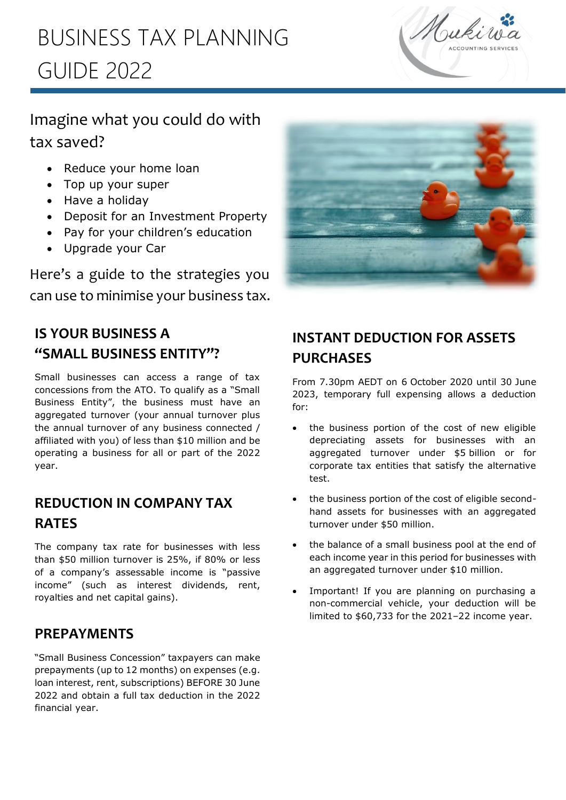# l<br>L BUSINESS TAX PLANNING GUIDE 2022



## Imagine what you could do with tax saved?

- Reduce your home loan
- Top up your super
- Have a holiday
- Deposit for an Investment Property
- Pay for your children's education
- Upgrade your Car

Here's a guide to the strategies you can use to minimise your business tax.



## **IS YOUR BUSINESS A "SMALL BUSINESS ENTITY"?**

Small businesses can access a range of tax concessions from the ATO. To qualify as a "Small Business Entity", the business must have an aggregated turnover (your annual turnover plus the annual turnover of any business connected / affiliated with you) of less than \$10 million and be operating a business for all or part of the 2022 year.

### **REDUCTION IN COMPANY TAX RATES**

The company tax rate for businesses with less than \$50 million turnover is 25%, if 80% or less of a company's assessable income is "passive income" (such as interest dividends, rent, royalties and net capital gains).

### **PREPAYMENTS**

"Small Business Concession" taxpayers can make prepayments (up to 12 months) on expenses (e.g. loan interest, rent, subscriptions) BEFORE 30 June 2022 and obtain a full tax deduction in the 2022 financial year.

## **INSTANT DEDUCTION FOR ASSETS PURCHASES**

From 7.30pm AEDT on 6 October 2020 until 30 June 2023, temporary full expensing allows a deduction for:

- the business portion of the cost of new eligible depreciating assets for businesses with an aggregated turnover under \$5 billion or for corporate tax entities that satisfy the alternative test.
- the business portion of the cost of eligible secondhand assets for businesses with an aggregated turnover under \$50 million.
- the balance of a small business pool at the end of each income year in this period for businesses with an aggregated turnover under \$10 million.
- Important! If you are planning on purchasing a non-commercial vehicle, your deduction will be limited to \$60,733 for the 2021–22 income year.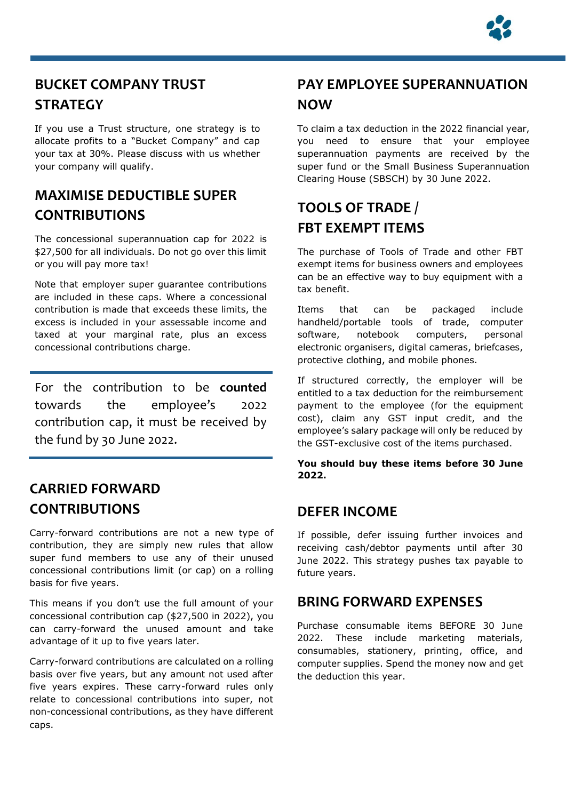

## **BUCKET COMPANY TRUST STRATEGY**

i<br>Li

If you use a Trust structure, one strategy is to allocate profits to a "Bucket Company" and cap your tax at 30%. Please discuss with us whether your company will qualify.

### **MAXIMISE DEDUCTIBLE SUPER CONTRIBUTIONS**

The concessional superannuation cap for 2022 is \$27,500 for all individuals. Do not go over this limit or you will pay more tax!

Note that employer super guarantee contributions are included in these caps. Where a concessional contribution is made that exceeds these limits, the excess is included in your assessable income and taxed at your marginal rate, plus an excess concessional contributions charge.

For the contribution to be **counted** towards the employee's 2022 contribution cap, it must be received by the fund by 30 June 2022.

### **CARRIED FORWARD CONTRIBUTIONS**

Carry-forward contributions are not a new type of contribution, they are simply new rules that allow super fund members to use any of their unused concessional contributions limit (or cap) on a rolling basis for five years.

This means if you don't use the full amount of your concessional contribution cap (\$27,500 in 2022), you can carry-forward the unused amount and take advantage of it up to five years later.

Carry-forward contributions are calculated on a rolling basis over five years, but any amount not used after five years expires. These carry-forward rules only relate to concessional contributions into super, not non-concessional contributions, as they have different caps.

## **PAY EMPLOYEE SUPERANNUATION NOW**

To claim a tax deduction in the 2022 financial year, you need to ensure that your employee superannuation payments are received by the super fund or the Small Business Superannuation Clearing House (SBSCH) by 30 June 2022.

## **TOOLS OF TRADE / FBT EXEMPT ITEMS**

The purchase of Tools of Trade and other FBT exempt items for business owners and employees can be an effective way to buy equipment with a tax benefit.

Items that can be packaged include handheld/portable tools of trade, computer software, notebook computers, personal electronic organisers, digital cameras, briefcases, protective clothing, and mobile phones.

If structured correctly, the employer will be entitled to a tax deduction for the reimbursement payment to the employee (for the equipment cost), claim any GST input credit, and the employee's salary package will only be reduced by the GST-exclusive cost of the items purchased.

**You should buy these items before 30 June 2022.**

#### **DEFER INCOME**

If possible, defer issuing further invoices and receiving cash/debtor payments until after 30 June 2022. This strategy pushes tax payable to future years.

#### **BRING FORWARD EXPENSES**

Purchase consumable items BEFORE 30 June 2022. These include marketing materials, consumables, stationery, printing, office, and computer supplies. Spend the money now and get the deduction this year.